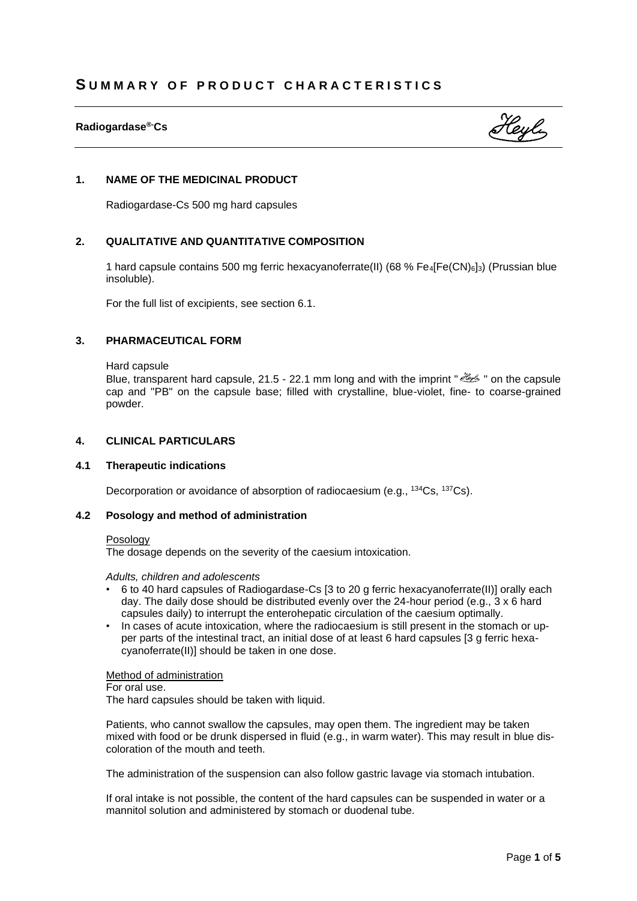# **Radiogardase®-Cs**



# **1. NAME OF THE MEDICINAL PRODUCT**

Radiogardase-Cs 500 mg hard capsules

# **2. QUALITATIVE AND QUANTITATIVE COMPOSITION**

1 hard capsule contains 500 mg ferric hexacyanoferrate(II) (68 % Fe4[Fe(CN)6]3) (Prussian blue insoluble).

For the full list of excipients, see section 6.1.

### **3. PHARMACEUTICAL FORM**

Hard capsule

Blue, transparent hard capsule, 21.5 - 22.1 mm long and with the imprint " with the capsule cap and "PB" on the capsule base; filled with crystalline, blue-violet, fine- to coarse-grained powder.

# **4. CLINICAL PARTICULARS**

### **4.1 Therapeutic indications**

Decorporation or avoidance of absorption of radiocaesium (e.g., <sup>134</sup>Cs, <sup>137</sup>Cs).

### **4.2 Posology and method of administration**

#### Posology

The dosage depends on the severity of the caesium intoxication.

#### *Adults, children and adolescents*

- 6 to 40 hard capsules of Radiogardase-Cs [3 to 20 g ferric hexacyanoferrate(II)] orally each day. The daily dose should be distributed evenly over the 24-hour period (e.g., 3 x 6 hard capsules daily) to interrupt the enterohepatic circulation of the caesium optimally.
- In cases of acute intoxication, where the radiocaesium is still present in the stomach or upper parts of the intestinal tract, an initial dose of at least 6 hard capsules [3 g ferric hexacyanoferrate(II)] should be taken in one dose.

Method of administration

For oral use.

The hard capsules should be taken with liquid.

Patients, who cannot swallow the capsules, may open them. The ingredient may be taken mixed with food or be drunk dispersed in fluid (e.g., in warm water). This may result in blue discoloration of the mouth and teeth.

The administration of the suspension can also follow gastric lavage via stomach intubation.

If oral intake is not possible, the content of the hard capsules can be suspended in water or a mannitol solution and administered by stomach or duodenal tube.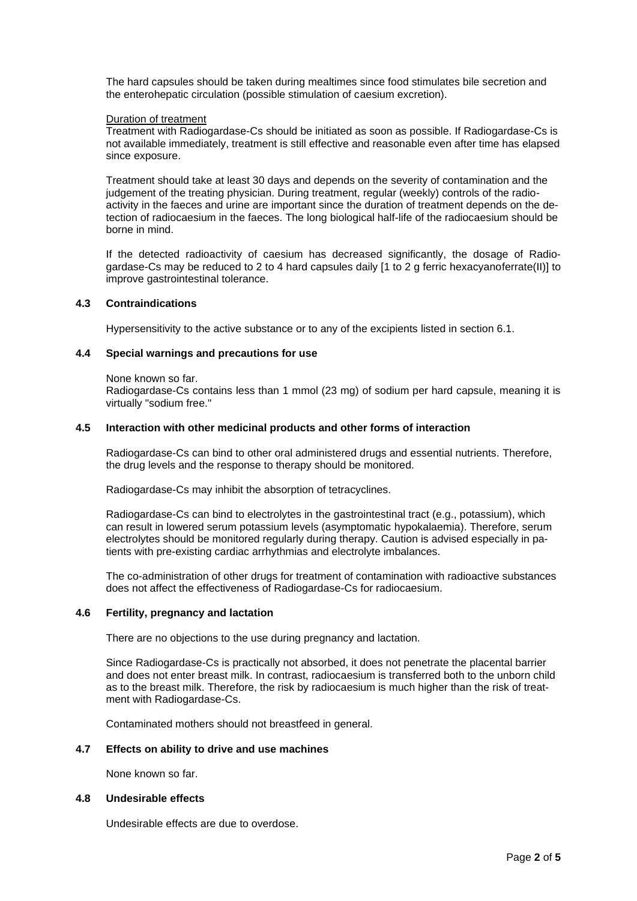The hard capsules should be taken during mealtimes since food stimulates bile secretion and the enterohepatic circulation (possible stimulation of caesium excretion).

### Duration of treatment

Treatment with Radiogardase-Cs should be initiated as soon as possible. If Radiogardase-Cs is not available immediately, treatment is still effective and reasonable even after time has elapsed since exposure.

Treatment should take at least 30 days and depends on the severity of contamination and the judgement of the treating physician. During treatment, regular (weekly) controls of the radioactivity in the faeces and urine are important since the duration of treatment depends on the detection of radiocaesium in the faeces. The long biological half-life of the radiocaesium should be borne in mind.

If the detected radioactivity of caesium has decreased significantly, the dosage of Radiogardase-Cs may be reduced to 2 to 4 hard capsules daily [1 to 2 g ferric hexacyanoferrate(II)] to improve gastrointestinal tolerance.

### **4.3 Contraindications**

Hypersensitivity to the active substance or to any of the excipients listed in section 6.1.

# **4.4 Special warnings and precautions for use**

None known so far.

Radiogardase-Cs contains less than 1 mmol (23 mg) of sodium per hard capsule, meaning it is virtually "sodium free."

### **4.5 Interaction with other medicinal products and other forms of interaction**

Radiogardase-Cs can bind to other oral administered drugs and essential nutrients. Therefore, the drug levels and the response to therapy should be monitored.

Radiogardase-Cs may inhibit the absorption of tetracyclines.

Radiogardase-Cs can bind to electrolytes in the gastrointestinal tract (e.g., potassium), which can result in lowered serum potassium levels (asymptomatic hypokalaemia). Therefore, serum electrolytes should be monitored regularly during therapy. Caution is advised especially in patients with pre-existing cardiac arrhythmias and electrolyte imbalances.

The co-administration of other drugs for treatment of contamination with radioactive substances does not affect the effectiveness of Radiogardase-Cs for radiocaesium.

### **4.6 Fertility, pregnancy and lactation**

There are no objections to the use during pregnancy and lactation.

Since Radiogardase-Cs is practically not absorbed, it does not penetrate the placental barrier and does not enter breast milk. In contrast, radiocaesium is transferred both to the unborn child as to the breast milk. Therefore, the risk by radiocaesium is much higher than the risk of treatment with Radiogardase-Cs.

Contaminated mothers should not breastfeed in general.

### **4.7 Effects on ability to drive and use machines**

None known so far.

### **4.8 Undesirable effects**

Undesirable effects are due to overdose.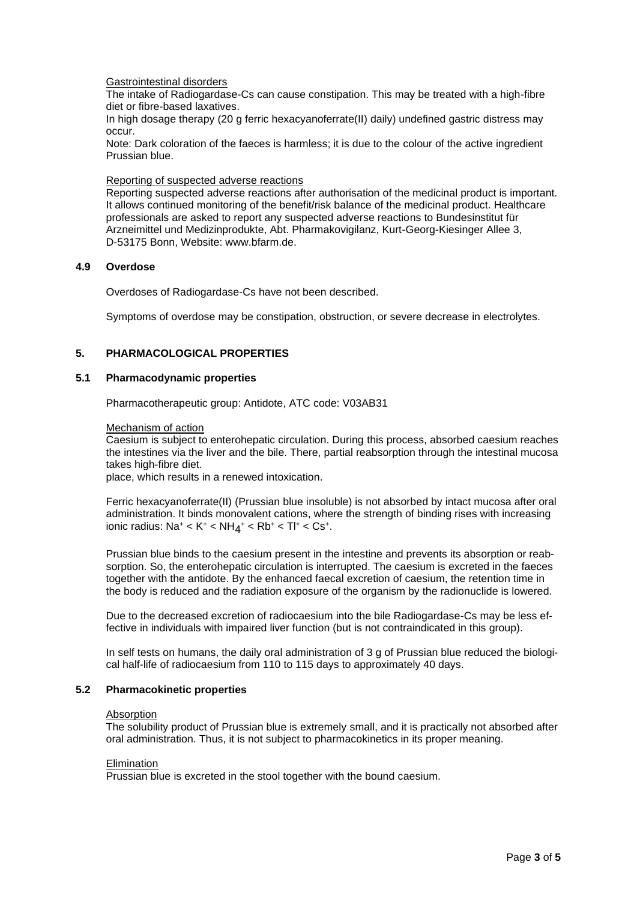### Gastrointestinal disorders

The intake of Radiogardase-Cs can cause constipation. This may be treated with a high-fibre diet or fibre-based laxatives.

In high dosage therapy (20 g ferric hexacyanoferrate(II) daily) undefined gastric distress may occur.

Note: Dark coloration of the faeces is harmless; it is due to the colour of the active ingredient Prussian blue.

#### Reporting of suspected adverse reactions

Reporting suspected adverse reactions after authorisation of the medicinal product is important. It allows continued monitoring of the benefit/risk balance of the medicinal product. Healthcare professionals are asked to report any suspected adverse reactions to Bundesinstitut für Arzneimittel und Medizinprodukte, Abt. Pharmakovigilanz, Kurt-Georg-Kiesinger Allee 3, D-53175 Bonn, Website: www.bfarm.de.

### **4.9 Overdose**

Overdoses of Radiogardase-Cs have not been described.

Symptoms of overdose may be constipation, obstruction, or severe decrease in electrolytes.

# **5. PHARMACOLOGICAL PROPERTIES**

### **5.1 Pharmacodynamic properties**

Pharmacotherapeutic group: Antidote, ATC code: V03AB31

#### Mechanism of action

Caesium is subject to enterohepatic circulation. During this process, absorbed caesium reaches the intestines via the liver and the bile. There, partial reabsorption through the intestinal mucosa takes high-fibre diet.

place, which results in a renewed intoxication.

Ferric hexacyanoferrate(II) (Prussian blue insoluble) is not absorbed by intact mucosa after oral administration. It binds monovalent cations, where the strength of binding rises with increasing ionic radius: Na $^+$  < K $^+$  < NH $_{\rm 4}^{+}$  < Rb $^+$  < Tl $^+$  < Cs $^+$ .

Prussian blue binds to the caesium present in the intestine and prevents its absorption or reabsorption. So, the enterohepatic circulation is interrupted. The caesium is excreted in the faeces together with the antidote. By the enhanced faecal excretion of caesium, the retention time in the body is reduced and the radiation exposure of the organism by the radionuclide is lowered.

Due to the decreased excretion of radiocaesium into the bile Radiogardase-Cs may be less effective in individuals with impaired liver function (but is not contraindicated in this group).

In self tests on humans, the daily oral administration of 3 g of Prussian blue reduced the biological half-life of radiocaesium from 110 to 115 days to approximately 40 days.

#### **5.2 Pharmacokinetic properties**

#### **Absorption**

The solubility product of Prussian blue is extremely small, and it is practically not absorbed after oral administration. Thus, it is not subject to pharmacokinetics in its proper meaning.

### **Elimination**

Prussian blue is excreted in the stool together with the bound caesium.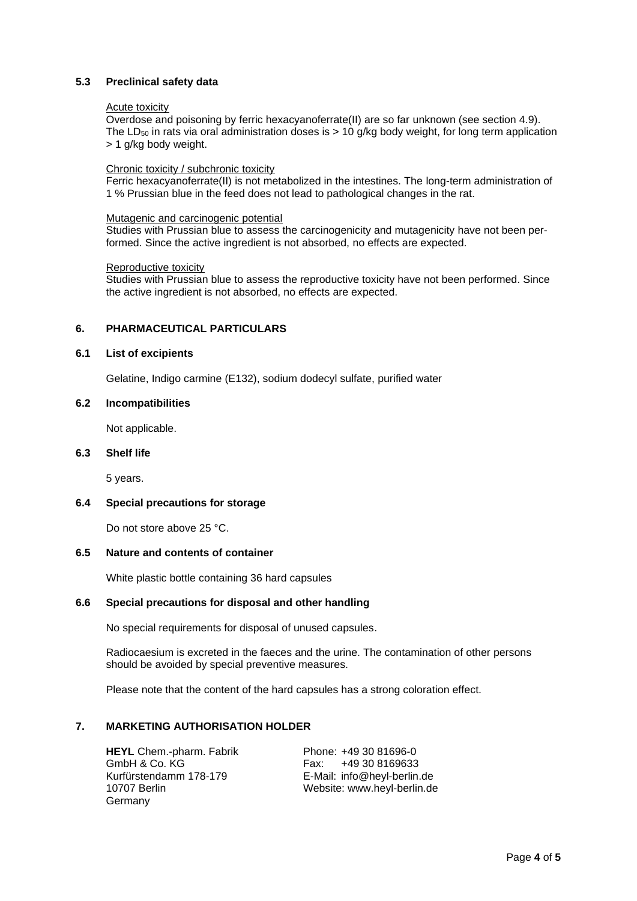# **5.3 Preclinical safety data**

#### Acute toxicity

Overdose and poisoning by ferric hexacyanoferrate(II) are so far unknown (see section 4.9). The LD<sub>50</sub> in rats via oral administration doses is  $> 10$  g/kg body weight, for long term application > 1 g/kg body weight.

### Chronic toxicity / subchronic toxicity

Ferric hexacyanoferrate(II) is not metabolized in the intestines. The long-term administration of 1 % Prussian blue in the feed does not lead to pathological changes in the rat.

### Mutagenic and carcinogenic potential

Studies with Prussian blue to assess the carcinogenicity and mutagenicity have not been performed. Since the active ingredient is not absorbed, no effects are expected.

### Reproductive toxicity

Studies with Prussian blue to assess the reproductive toxicity have not been performed. Since the active ingredient is not absorbed, no effects are expected.

# **6. PHARMACEUTICAL PARTICULARS**

### **6.1 List of excipients**

Gelatine, Indigo carmine (E132), sodium dodecyl sulfate, purified water

### **6.2 Incompatibilities**

Not applicable.

### **6.3 Shelf life**

5 years.

### **6.4 Special precautions for storage**

Do not store above 25 °C.

### **6.5 Nature and contents of container**

White plastic bottle containing 36 hard capsules

### **6.6 Special precautions for disposal and other handling**

No special requirements for disposal of unused capsules.

Radiocaesium is excreted in the faeces and the urine. The contamination of other persons should be avoided by special preventive measures.

Please note that the content of the hard capsules has a strong coloration effect.

### **7. MARKETING AUTHORISATION HOLDER**

**HEYL** Chem.-pharm. Fabrik Phone: +49 30 81696-0 GmbH & Co. KG Fax: +49 30 8169633 Kurfürstendamm 178-179 E-Mail: info@heyl-berlin.de **Germany** 

10707 Berlin Website: www.heyl-berlin.de